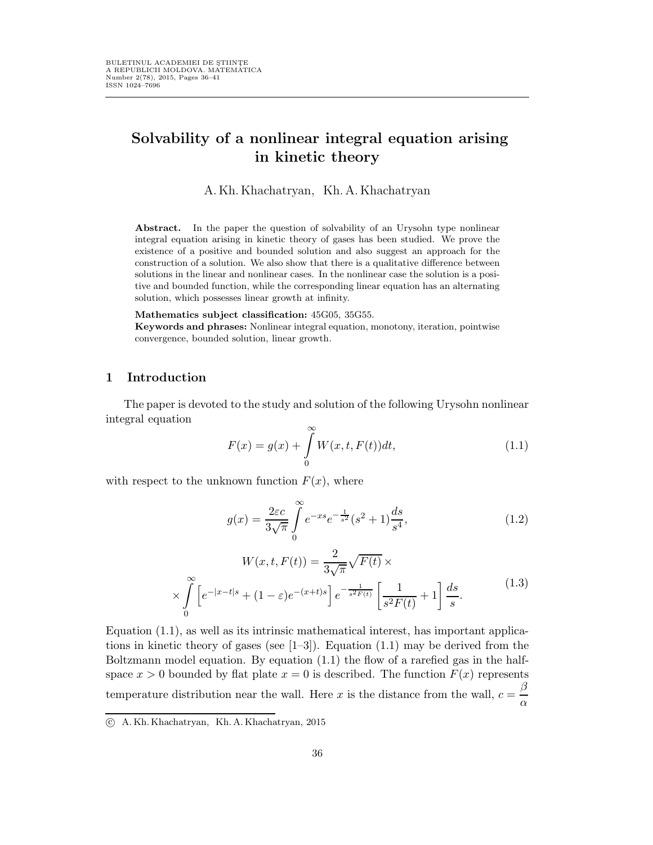# Solvability of a nonlinear integral equation arising in kinetic theory

A.Kh.Khachatryan, Kh.A.Khachatryan

Abstract. In the paper the question of solvability of an Urysohn type nonlinear integral equation arising in kinetic theory of gases has been studied. We prove the existence of a positive and bounded solution and also suggest an approach for the construction of a solution. We also show that there is a qualitative difference between solutions in the linear and nonlinear cases. In the nonlinear case the solution is a positive and bounded function, while the corresponding linear equation has an alternating solution, which possesses linear growth at infinity.

Mathematics subject classification: 45G05, 35G55.

Keywords and phrases: Nonlinear integral equation, monotony, iteration, pointwise convergence, bounded solution, linear growth.

#### 1 Introduction

The paper is devoted to the study and solution of the following Urysohn nonlinear integral equation

$$
F(x) = g(x) + \int_{0}^{\infty} W(x, t, F(t))dt,
$$
\n(1.1)

with respect to the unknown function  $F(x)$ , where

$$
g(x) = \frac{2\varepsilon c}{3\sqrt{\pi}} \int_{0}^{\infty} e^{-xs} e^{-\frac{1}{s^2}} (s^2 + 1) \frac{ds}{s^4},
$$
 (1.2)

$$
W(x, t, F(t)) = \frac{2}{3\sqrt{\pi}} \sqrt{F(t)} \times \times \int_{0}^{\infty} \left[ e^{-|x-t|s} + (1-\varepsilon)e^{-(x+t)s} \right] e^{-\frac{1}{s^2 F(t)}} \left[ \frac{1}{s^2 F(t)} + 1 \right] \frac{ds}{s}.
$$
 (1.3)

Equation (1.1), as well as its intrinsic mathematical interest, has important applications in kinetic theory of gases (see  $[1-3]$ ). Equation  $(1.1)$  may be derived from the Boltzmann model equation. By equation  $(1.1)$  the flow of a rarefied gas in the halfspace  $x > 0$  bounded by flat plate  $x = 0$  is described. The function  $F(x)$  represents temperature distribution near the wall. Here x is the distance from the wall,  $c = \frac{\beta}{\beta}$ α

c A. Kh. Khachatryan, Kh. A. Khachatryan, 2015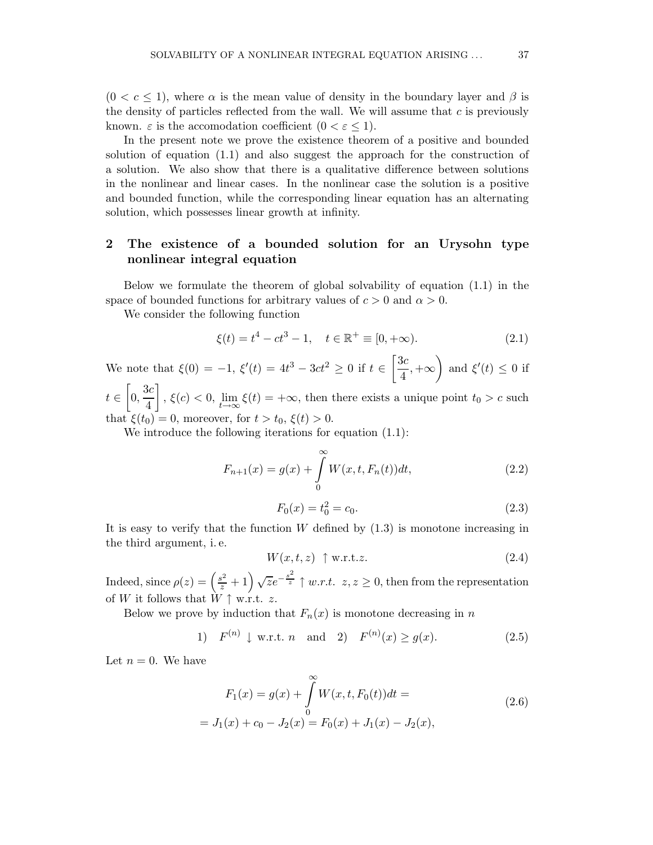$(0 < c \leq 1)$ , where  $\alpha$  is the mean value of density in the boundary layer and  $\beta$  is the density of particles reflected from the wall. We will assume that  $c$  is previously known.  $\varepsilon$  is the accomodation coefficient  $(0 < \varepsilon < 1)$ .

In the present note we prove the existence theorem of a positive and bounded solution of equation (1.1) and also suggest the approach for the construction of a solution. We also show that there is a qualitative difference between solutions in the nonlinear and linear cases. In the nonlinear case the solution is a positive and bounded function, while the corresponding linear equation has an alternating solution, which possesses linear growth at infinity.

### 2 The existence of a bounded solution for an Urysohn type nonlinear integral equation

Below we formulate the theorem of global solvability of equation (1.1) in the space of bounded functions for arbitrary values of  $c > 0$  and  $\alpha > 0$ .

We consider the following function

$$
\xi(t) = t^4 - ct^3 - 1, \quad t \in \mathbb{R}^+ \equiv [0, +\infty). \tag{2.1}
$$

We note that  $\xi(0) = -1$ ,  $\xi'(t) = 4t^3 - 3ct^2 \ge 0$  if  $t \in \left[\frac{3c}{4}\right]$  $\left(\frac{3c}{4}, +\infty\right)$  and  $\xi'(t) \leq 0$  if  $t \in \left[0, \frac{3c}{4}\right]$  $\int$ ,  $\xi(c) < 0$ ,  $\lim_{t \to \infty} \xi(t) = +\infty$ , then there exists a unique point  $t_0 > c$  such

4 that  $\xi(t_0) = 0$ , moreover, for  $t > t_0$ ,  $\xi(t) > 0$ .

We introduce the following iterations for equation  $(1.1)$ :

$$
F_{n+1}(x) = g(x) + \int_{0}^{\infty} W(x, t, F_n(t))dt,
$$
\n(2.2)

$$
F_0(x) = t_0^2 = c_0. \tag{2.3}
$$

It is easy to verify that the function  $W$  defined by  $(1.3)$  is monotone increasing in the third argument, i. e.

$$
W(x,t,z) \uparrow \mathbf{w}.\mathbf{r}.\mathbf{t}.\mathbf{z}.\tag{2.4}
$$

Indeed, since  $\rho(z) = \left(\frac{s^2}{z} + 1\right) \sqrt{z} e^{-\frac{s^2}{z}} \uparrow w.r.t.$   $z, z \ge 0$ , then from the representation of W it follows that  $W \uparrow$  w.r.t. z.

Below we prove by induction that  $F_n(x)$  is monotone decreasing in n

1) 
$$
F^{(n)} \downarrow
$$
 w.r.t. *n* and 2)  $F^{(n)}(x) \ge g(x)$ . (2.5)

Let  $n = 0$ . We have

$$
F_1(x) = g(x) + \int_0^{\infty} W(x, t, F_0(t))dt =
$$
  
=  $J_1(x) + c_0 - J_2(x) = F_0(x) + J_1(x) - J_2(x),$  (2.6)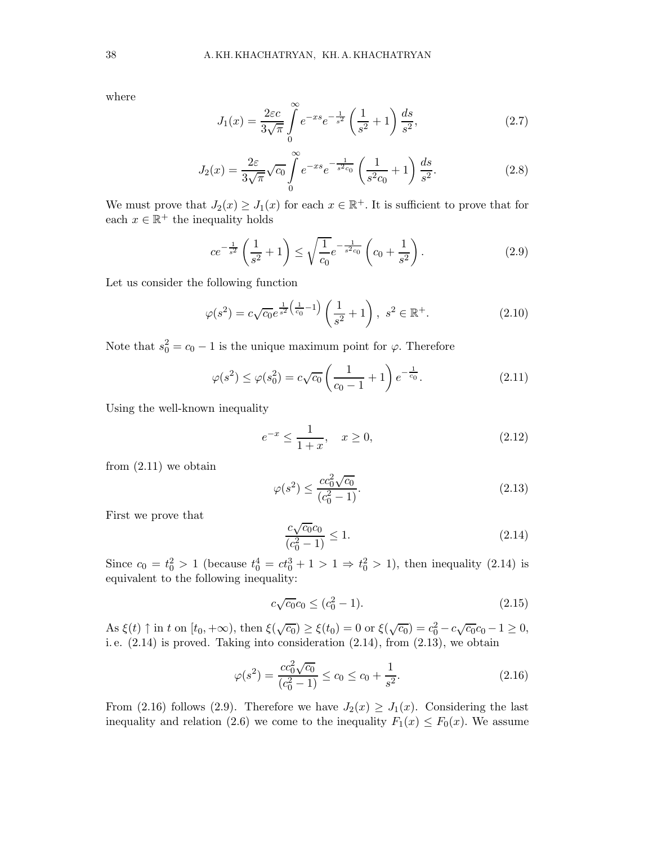where

$$
J_1(x) = \frac{2\varepsilon c}{3\sqrt{\pi}} \int_0^\infty e^{-xs} e^{-\frac{1}{s^2}} \left(\frac{1}{s^2} + 1\right) \frac{ds}{s^2},\tag{2.7}
$$

$$
J_2(x) = \frac{2\varepsilon}{3\sqrt{\pi}} \sqrt{c_0} \int_0^\infty e^{-xs} e^{-\frac{1}{s^2 c_0}} \left(\frac{1}{s^2 c_0} + 1\right) \frac{ds}{s^2}.
$$
 (2.8)

We must prove that  $J_2(x) \geq J_1(x)$  for each  $x \in \mathbb{R}^+$ . It is sufficient to prove that for each  $x \in \mathbb{R}^+$  the inequality holds

$$
ce^{-\frac{1}{s^2}}\left(\frac{1}{s^2}+1\right) \le \sqrt{\frac{1}{c_0}}e^{-\frac{1}{s^2c_0}}\left(c_0+\frac{1}{s^2}\right). \tag{2.9}
$$

Let us consider the following function

$$
\varphi(s^2) = c\sqrt{c_0}e^{\frac{1}{s^2}\left(\frac{1}{c_0}-1\right)}\left(\frac{1}{s^2}+1\right), \ s^2 \in \mathbb{R}^+.
$$
 (2.10)

Note that  $s_0^2 = c_0 - 1$  is the unique maximum point for  $\varphi$ . Therefore

$$
\varphi(s^2) \le \varphi(s_0^2) = c\sqrt{c_0} \left(\frac{1}{c_0 - 1} + 1\right) e^{-\frac{1}{c_0}}.
$$
\n(2.11)

Using the well-known inequality

$$
e^{-x} \le \frac{1}{1+x}, \quad x \ge 0,\tag{2.12}
$$

from (2.11) we obtain

$$
\varphi(s^2) \le \frac{cc_0^2 \sqrt{c_0}}{(c_0^2 - 1)}.\tag{2.13}
$$

First we prove that

$$
\frac{c\sqrt{c_0}c_0}{(c_0^2 - 1)} \le 1.
$$
\n(2.14)

Since  $c_0 = t_0^2 > 1$  (because  $t_0^4 = ct_0^3 + 1 > 1 \Rightarrow t_0^2 > 1$ ), then inequality (2.14) is equivalent to the following inequality:

$$
c\sqrt{c_0}c_0 \le (c_0^2 - 1). \tag{2.15}
$$

As  $\xi(t) \uparrow$  in t on  $[t_0, +\infty)$ , then  $\xi(\sqrt{c_0}) \ge \xi(t_0) = 0$  or  $\xi(\sqrt{c_0}) = c_0^2 - c\sqrt{c_0}c_0 - 1 \ge 0$ , i. e. (2.14) is proved. Taking into consideration (2.14), from (2.13), we obtain

$$
\varphi(s^2) = \frac{cc_0^2\sqrt{c_0}}{(c_0^2 - 1)} \le c_0 \le c_0 + \frac{1}{s^2}.
$$
\n(2.16)

From (2.16) follows (2.9). Therefore we have  $J_2(x) \geq J_1(x)$ . Considering the last inequality and relation (2.6) we come to the inequality  $F_1(x) \leq F_0(x)$ . We assume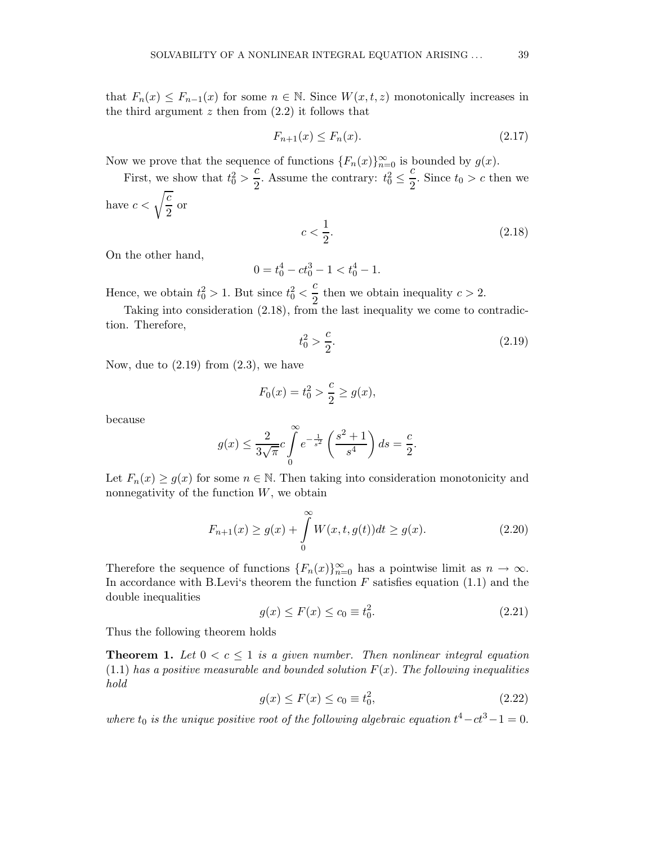that  $F_n(x) \leq F_{n-1}(x)$  for some  $n \in \mathbb{N}$ . Since  $W(x,t,z)$  monotonically increases in the third argument  $z$  then from  $(2.2)$  it follows that

$$
F_{n+1}(x) \le F_n(x). \tag{2.17}
$$

Now we prove that the sequence of functions  ${F_n(x)}_{n=0}^{\infty}$  is bounded by  $g(x)$ .

First, we show that  $t_0^2 > \frac{c}{2}$  $\frac{c}{2}$ . Assume the contrary:  $t_0^2 \le$ c  $\frac{c}{2}$ . Since  $t_0 > c$  then we have  $c < \sqrt{\frac{c}{\delta}}$  $\frac{0}{2}$  or

$$
c < \frac{1}{2}.\tag{2.18}
$$

On the other hand,

$$
0 = t_0^4 - ct_0^3 - 1 < t_0^4 - 1.
$$

Hence, we obtain  $t_0^2 > 1$ . But since  $t_0^2 < \frac{c}{2}$  $\frac{1}{2}$  then we obtain inequality  $c > 2$ .

Taking into consideration (2.18), from the last inequality we come to contradiction. Therefore,

$$
t_0^2 > \frac{c}{2}.\tag{2.19}
$$

Now, due to  $(2.19)$  from  $(2.3)$ , we have

$$
F_0(x) = t_0^2 > \frac{c}{2} \ge g(x),
$$

because

$$
g(x) \le \frac{2}{3\sqrt{\pi}} c \int_{0}^{\infty} e^{-\frac{1}{s^2}} \left(\frac{s^2+1}{s^4}\right) ds = \frac{c}{2}.
$$

Let  $F_n(x) \ge g(x)$  for some  $n \in \mathbb{N}$ . Then taking into consideration monotonicity and nonnegativity of the function  $W$ , we obtain

$$
F_{n+1}(x) \ge g(x) + \int_{0}^{\infty} W(x, t, g(t))dt \ge g(x).
$$
 (2.20)

Therefore the sequence of functions  ${F_n(x)}_{n=0}^{\infty}$  has a pointwise limit as  $n \to \infty$ . In accordance with B.Levi's theorem the function  $F$  satisfies equation (1.1) and the double inequalities

$$
g(x) \le F(x) \le c_0 \equiv t_0^2. \tag{2.21}
$$

Thus the following theorem holds

**Theorem 1.** Let  $0 < c \leq 1$  is a given number. Then nonlinear integral equation  $(1.1)$  has a positive measurable and bounded solution  $F(x)$ . The following inequalities hold

$$
g(x) \le F(x) \le c_0 \equiv t_0^2,
$$
\n(2.22)

where  $t_0$  is the unique positive root of the following algebraic equation  $t^4 - ct^3 - 1 = 0$ .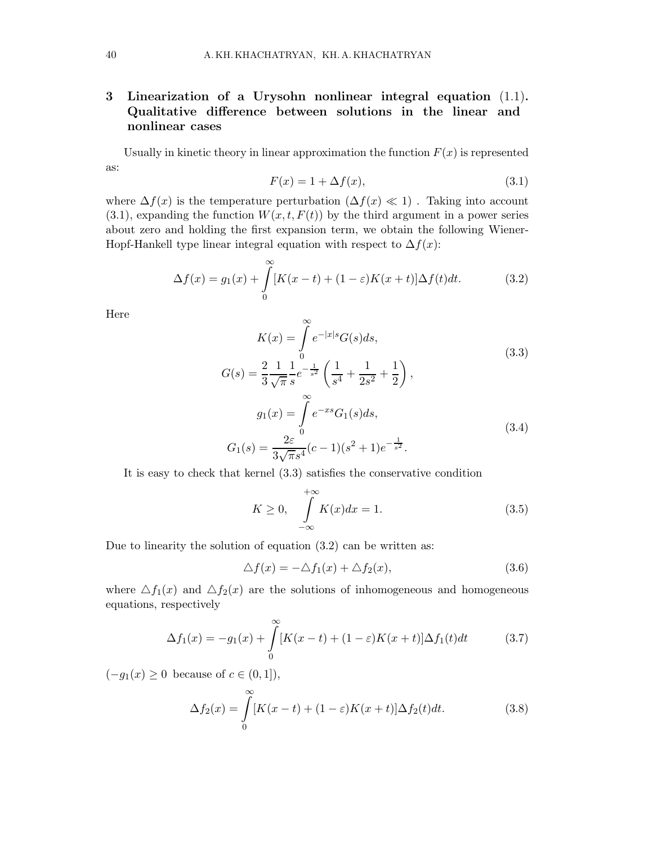## 3 Linearization of a Urysohn nonlinear integral equation (1.1). Qualitative difference between solutions in the linear and nonlinear cases

Usually in kinetic theory in linear approximation the function  $F(x)$  is represented as:

$$
F(x) = 1 + \Delta f(x),\tag{3.1}
$$

where  $\Delta f(x)$  is the temperature perturbation  $(\Delta f(x) \ll 1)$ . Taking into account  $(3.1)$ , expanding the function  $W(x, t, F(t))$  by the third argument in a power series about zero and holding the first expansion term, we obtain the following Wiener-Hopf-Hankell type linear integral equation with respect to  $\Delta f(x)$ :

$$
\Delta f(x) = g_1(x) + \int_0^\infty [K(x - t) + (1 - \varepsilon)K(x + t)] \Delta f(t) dt.
$$
 (3.2)

Here

$$
K(x) = \int_{0}^{\infty} e^{-|x|s} G(s) ds,
$$
  
\n
$$
G(s) = \frac{2}{3} \frac{1}{\sqrt{\pi}} \frac{1}{s} e^{-\frac{1}{s^2}} \left( \frac{1}{s^4} + \frac{1}{2s^2} + \frac{1}{2} \right),
$$
  
\n
$$
g_1(x) = \int_{0}^{\infty} e^{-xs} G_1(s) ds,
$$
  
\n
$$
G_1(s) = \frac{2\varepsilon}{3\sqrt{\pi}s^4} (c-1)(s^2+1)e^{-\frac{1}{s^2}}.
$$
\n(3.4)

It is easy to check that kernel (3.3) satisfies the conservative condition

$$
K \ge 0, \quad \int_{-\infty}^{+\infty} K(x)dx = 1.
$$
 (3.5)

Due to linearity the solution of equation (3.2) can be written as:

$$
\Delta f(x) = -\Delta f_1(x) + \Delta f_2(x),\tag{3.6}
$$

where  $\Delta f_1(x)$  and  $\Delta f_2(x)$  are the solutions of inhomogeneous and homogeneous equations, respectively

$$
\Delta f_1(x) = -g_1(x) + \int_{0}^{\infty} [K(x - t) + (1 - \varepsilon)K(x + t)] \Delta f_1(t) dt \qquad (3.7)
$$

 $(-g_1(x) \geq 0$  because of  $c \in (0,1]$ ,

$$
\Delta f_2(x) = \int_0^\infty [K(x-t) + (1-\varepsilon)K(x+t)]\Delta f_2(t)dt.
$$
\n(3.8)